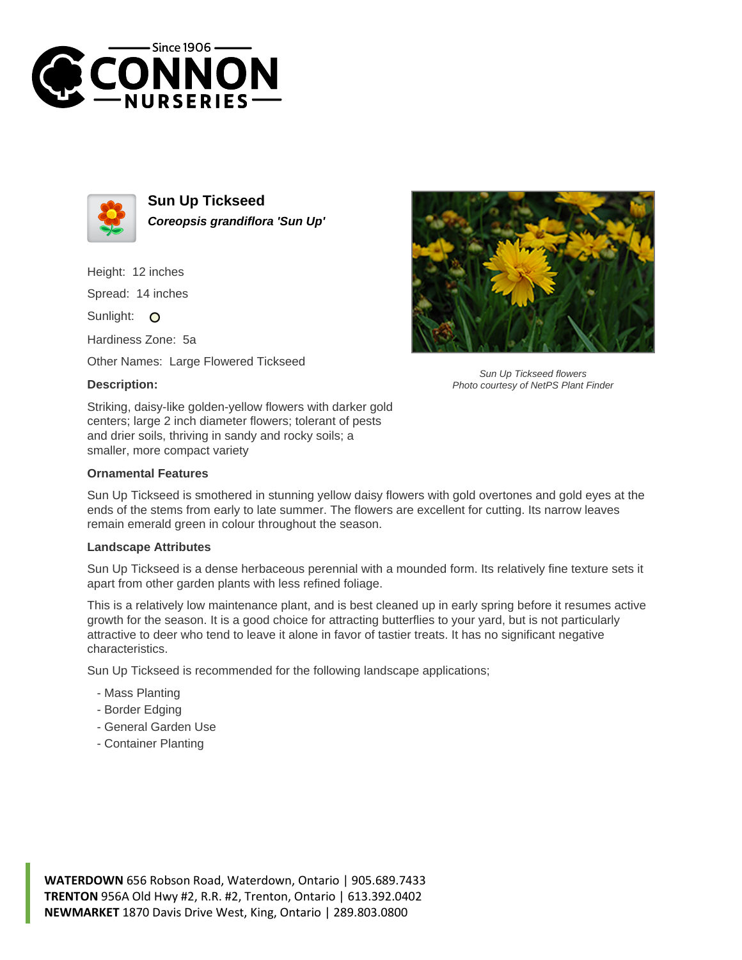



**Sun Up Tickseed Coreopsis grandiflora 'Sun Up'**

Height: 12 inches

Spread: 14 inches

Sunlight: O

Hardiness Zone: 5a

Other Names: Large Flowered Tickseed

## **Description:**



Sun Up Tickseed flowers Photo courtesy of NetPS Plant Finder

Striking, daisy-like golden-yellow flowers with darker gold centers; large 2 inch diameter flowers; tolerant of pests and drier soils, thriving in sandy and rocky soils; a smaller, more compact variety

## **Ornamental Features**

Sun Up Tickseed is smothered in stunning yellow daisy flowers with gold overtones and gold eyes at the ends of the stems from early to late summer. The flowers are excellent for cutting. Its narrow leaves remain emerald green in colour throughout the season.

## **Landscape Attributes**

Sun Up Tickseed is a dense herbaceous perennial with a mounded form. Its relatively fine texture sets it apart from other garden plants with less refined foliage.

This is a relatively low maintenance plant, and is best cleaned up in early spring before it resumes active growth for the season. It is a good choice for attracting butterflies to your yard, but is not particularly attractive to deer who tend to leave it alone in favor of tastier treats. It has no significant negative characteristics.

Sun Up Tickseed is recommended for the following landscape applications;

- Mass Planting
- Border Edging
- General Garden Use
- Container Planting

**WATERDOWN** 656 Robson Road, Waterdown, Ontario | 905.689.7433 **TRENTON** 956A Old Hwy #2, R.R. #2, Trenton, Ontario | 613.392.0402 **NEWMARKET** 1870 Davis Drive West, King, Ontario | 289.803.0800